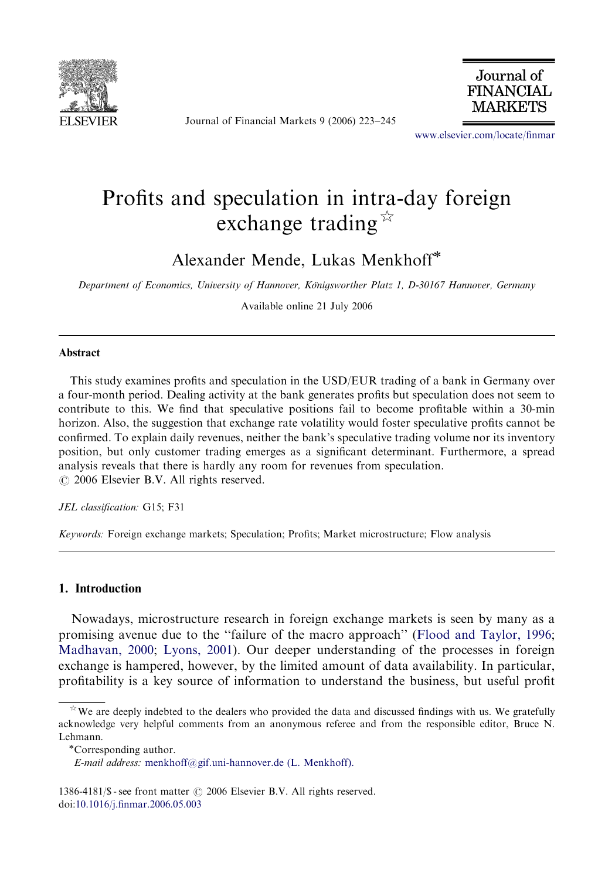

Journal of Financial Markets 9 (2006) 223–245



<www.elsevier.com/locate/finmar>

## Profits and speculation in intra-day foreign exchange trading  $\overrightarrow{A}$

Alexander Mende, Lukas Menkhoff

Department of Economics, University of Hannover, Königsworther Platz 1, D-30167 Hannover, Germany

Available online 21 July 2006

## **Abstract**

This study examines profits and speculation in the USD/EUR trading of a bank in Germany over a four-month period. Dealing activity at the bank generates profits but speculation does not seem to contribute to this. We find that speculative positions fail to become profitable within a 30-min horizon. Also, the suggestion that exchange rate volatility would foster speculative profits cannot be confirmed. To explain daily revenues, neither the bank's speculative trading volume nor its inventory position, but only customer trading emerges as a significant determinant. Furthermore, a spread analysis reveals that there is hardly any room for revenues from speculation.  $\odot$  2006 Elsevier B.V. All rights reserved.

JEL classification: G15; F31

Keywords: Foreign exchange markets; Speculation; Profits; Market microstructure; Flow analysis

## 1. Introduction

Nowadays, microstructure research in foreign exchange markets is seen by many as a promising avenue due to the ''failure of the macro approach'' [\(Flood and Taylor, 1996;](#page--1-0) [Madhavan, 2000;](#page--1-0) [Lyons, 2001](#page--1-0)). Our deeper understanding of the processes in foreign exchange is hampered, however, by the limited amount of data availability. In particular, profitability is a key source of information to understand the business, but useful profit

1386-4181/\$ - see front matter  $\odot$  2006 Elsevier B.V. All rights reserved. doi[:10.1016/j.finmar.2006.05.003](dx.doi.org/10.1016/j.finmar.2006.05.003)

 $*$  We are deeply indebted to the dealers who provided the data and discussed findings with us. We gratefully acknowledge very helpful comments from an anonymous referee and from the responsible editor, Bruce N. Lehmann.<br>\*Corresponding author.

E-mail address: [menkhoff@gif.uni-hannover.de \(L. Menkhoff\).](mailto:menkhoff@gif.uni-hannover.de)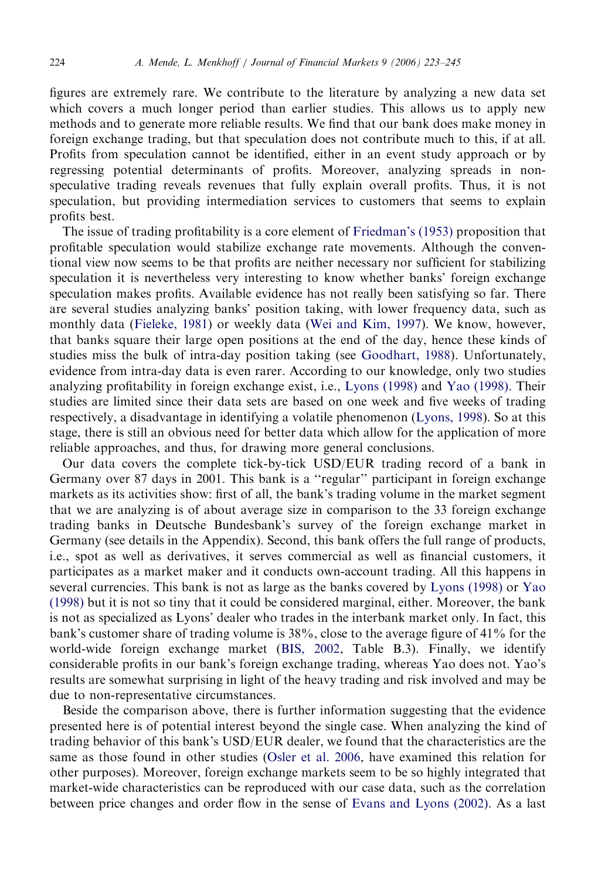figures are extremely rare. We contribute to the literature by analyzing a new data set which covers a much longer period than earlier studies. This allows us to apply new methods and to generate more reliable results. We find that our bank does make money in foreign exchange trading, but that speculation does not contribute much to this, if at all. Profits from speculation cannot be identified, either in an event study approach or by regressing potential determinants of profits. Moreover, analyzing spreads in nonspeculative trading reveals revenues that fully explain overall profits. Thus, it is not speculation, but providing intermediation services to customers that seems to explain profits best.

The issue of trading profitability is a core element of [Friedman's \(1953\)](#page--1-0) proposition that profitable speculation would stabilize exchange rate movements. Although the conventional view now seems to be that profits are neither necessary nor sufficient for stabilizing speculation it is nevertheless very interesting to know whether banks' foreign exchange speculation makes profits. Available evidence has not really been satisfying so far. There are several studies analyzing banks' position taking, with lower frequency data, such as monthly data ([Fieleke, 1981\)](#page--1-0) or weekly data ([Wei and Kim, 1997\)](#page--1-0). We know, however, that banks square their large open positions at the end of the day, hence these kinds of studies miss the bulk of intra-day position taking (see [Goodhart, 1988\)](#page--1-0). Unfortunately, evidence from intra-day data is even rarer. According to our knowledge, only two studies analyzing profitability in foreign exchange exist, i.e., [Lyons \(1998\)](#page--1-0) and [Yao \(1998\)](#page--1-0). Their studies are limited since their data sets are based on one week and five weeks of trading respectively, a disadvantage in identifying a volatile phenomenon ([Lyons, 1998\)](#page--1-0). So at this stage, there is still an obvious need for better data which allow for the application of more reliable approaches, and thus, for drawing more general conclusions.

Our data covers the complete tick-by-tick USD/EUR trading record of a bank in Germany over 87 days in 2001. This bank is a ''regular'' participant in foreign exchange markets as its activities show: first of all, the bank's trading volume in the market segment that we are analyzing is of about average size in comparison to the 33 foreign exchange trading banks in Deutsche Bundesbank's survey of the foreign exchange market in Germany (see details in the Appendix). Second, this bank offers the full range of products, i.e., spot as well as derivatives, it serves commercial as well as financial customers, it participates as a market maker and it conducts own-account trading. All this happens in several currencies. This bank is not as large as the banks covered by [Lyons \(1998\)](#page--1-0) or [Yao](#page--1-0) [\(1998\)](#page--1-0) but it is not so tiny that it could be considered marginal, either. Moreover, the bank is not as specialized as Lyons' dealer who trades in the interbank market only. In fact, this bank's customer share of trading volume is 38%, close to the average figure of 41% for the world-wide foreign exchange market [\(BIS, 2002,](#page--1-0) Table B.3). Finally, we identify considerable profits in our bank's foreign exchange trading, whereas Yao does not. Yao's results are somewhat surprising in light of the heavy trading and risk involved and may be due to non-representative circumstances.

Beside the comparison above, there is further information suggesting that the evidence presented here is of potential interest beyond the single case. When analyzing the kind of trading behavior of this bank's USD/EUR dealer, we found that the characteristics are the same as those found in other studies ([Osler et al. 2006,](#page--1-0) have examined this relation for other purposes). Moreover, foreign exchange markets seem to be so highly integrated that market-wide characteristics can be reproduced with our case data, such as the correlation between price changes and order flow in the sense of [Evans and Lyons \(2002\).](#page--1-0) As a last